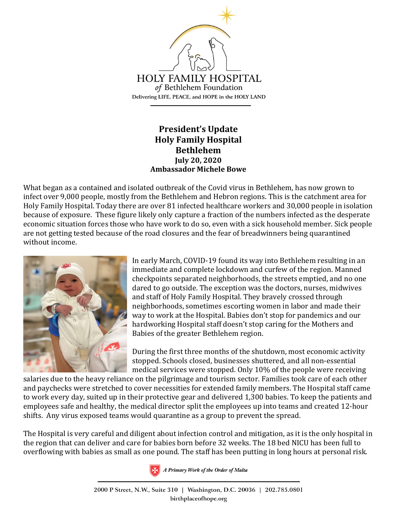

## **President's Update Holy Family Hospital Bethlehem July 20, 2020 Ambassador Michele Bowe**

What began as a contained and isolated outbreak of the Covid virus in Bethlehem, has now grown to infect over 9,000 people, mostly from the Bethlehem and Hebron regions. This is the catchment area for Holy Family Hospital. Today there are over 81 infected healthcare workers and 30,000 people in isolation because of exposure. These figure likely only capture a fraction of the numbers infected as the desperate economic situation forces those who have work to do so, even with a sick household member. Sick people are not getting tested because of the road closures and the fear of breadwinners being quarantined without income.



In early March, COVID-19 found its way into Bethlehem resulting in an immediate and complete lockdown and curfew of the region. Manned checkpoints separated neighborhoods, the streets emptied, and no one dared to go outside. The exception was the doctors, nurses, midwives and staff of Holy Family Hospital. They bravely crossed through neighborhoods, sometimes escorting women in labor and made their way to work at the Hospital. Babies don't stop for pandemics and our hardworking Hospital staff doesn't stop caring for the Mothers and Babies of the greater Bethlehem region.

During the first three months of the shutdown, most economic activity stopped. Schools closed, businesses shuttered, and all non-essential medical services were stopped. Only 10% of the people were receiving

salaries due to the heavy reliance on the pilgrimage and tourism sector. Families took care of each other and paychecks were stretched to cover necessities for extended family members. The Hospital staff came to work every day, suited up in their protective gear and delivered 1,300 babies. To keep the patients and employees safe and healthy, the medical director split the employees up into teams and created 12-hour shifts. Any virus exposed teams would quarantine as a group to prevent the spread.

The Hospital is very careful and diligent about infection control and mitigation, as it is the only hospital in the region that can deliver and care for babies born before 32 weeks. The 18 bed NICU has been full to overflowing with babies as small as one pound. The staff has been putting in long hours at personal risk.



A Primary Work of the Order of Malta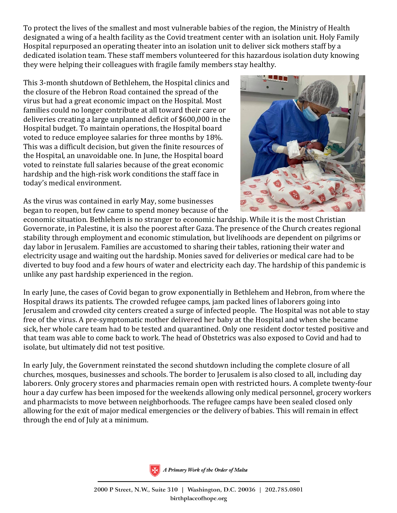To protect the lives of the smallest and most vulnerable babies of the region, the Ministry of Health designated a wing of a health facility as the Covid treatment center with an isolation unit. Holy Family Hospital repurposed an operating theater into an isolation unit to deliver sick mothers staff by a dedicated isolation team. These staff members volunteered for this hazardous isolation duty knowing they were helping their colleagues with fragile family members stay healthy.

This 3-month shutdown of Bethlehem, the Hospital clinics and the closure of the Hebron Road contained the spread of the virus but had a great economic impact on the Hospital. Most families could no longer contribute at all toward their care or deliveries creating a large unplanned deficit of \$600,000 in the Hospital budget. To maintain operations, the Hospital board voted to reduce employee salaries for three months by 18%. This was a difficult decision, but given the finite resources of the Hospital, an unavoidable one. In June, the Hospital board voted to reinstate full salaries because of the great economic hardship and the high-risk work conditions the staff face in today's medical environment.

As the virus was contained in early May, some businesses began to reopen, but few came to spend money because of the



economic situation. Bethlehem is no stranger to economic hardship. While it is the most Christian Governorate, in Palestine, it is also the poorest after Gaza. The presence of the Church creates regional stability through employment and economic stimulation, but livelihoods are dependent on pilgrims or day labor in Jerusalem. Families are accustomed to sharing their tables, rationing their water and electricity usage and waiting out the hardship. Monies saved for deliveries or medical care had to be diverted to buy food and a few hours of water and electricity each day. The hardship of this pandemic is unlike any past hardship experienced in the region.

In early June, the cases of Covid began to grow exponentially in Bethlehem and Hebron, from where the Hospital draws its patients. The crowded refugee camps, jam packed lines of laborers going into Jerusalem and crowded city centers created a surge of infected people. The Hospital was not able to stay free of the virus. A pre-symptomatic mother delivered her baby at the Hospital and when she became sick, her whole care team had to be tested and quarantined. Only one resident doctor tested positive and that team was able to come back to work. The head of Obstetrics was also exposed to Covid and had to isolate, but ultimately did not test positive.

In early July, the Government reinstated the second shutdown including the complete closure of all churches, mosques, businesses and schools. The border to Jerusalem is also closed to all, including day laborers. Only grocery stores and pharmacies remain open with restricted hours. A complete twenty-four hour a day curfew has been imposed for the weekends allowing only medical personnel, grocery workers and pharmacists to move between neighborhoods. The refugee camps have been sealed closed only allowing for the exit of major medical emergencies or the delivery of babies. This will remain in effect through the end of July at a minimum.



A Primary Work of the Order of Malta